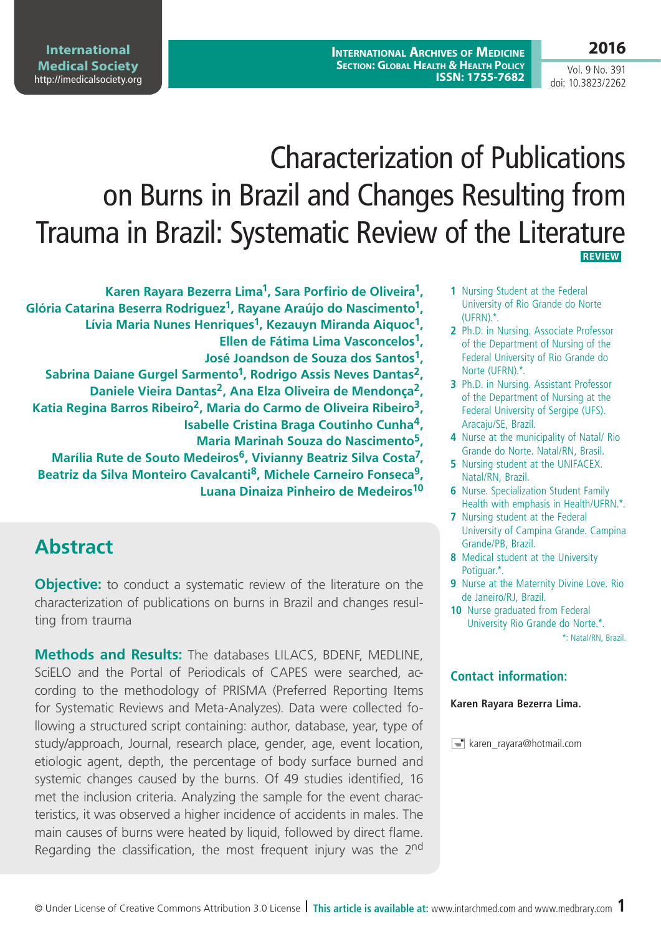Vol. 9 No. 391 doi: 10.3823/2262

**2016**

# Characterization of Publications on Burns in Brazil and Changes Resulting from Trauma in Brazil: Systematic Review of the Literature  **REVIEW**

**Karen Rayara Bezerra Lima1, Sara Porfirio de Oliveira1, Glória Catarina Beserra Rodriguez1, Rayane Araújo do Nascimento1, Lívia Maria Nunes Henriques1, Kezauyn Miranda Aiquoc1, Ellen de Fátima Lima Vasconcelos1, José Joandson de Souza dos Santos1,**  Sabrina Daiane Gurgel Sarmento<sup>1</sup>, Rodrigo Assis Neves Dantas<sup>2</sup>, **Daniele Vieira Dantas2, Ana Elza Oliveira de Mendonça2, Katia Regina Barros Ribeiro2, Maria do Carmo de Oliveira Ribeiro3, Isabelle Cristina Braga Coutinho Cunha4, Maria Marinah Souza do Nascimento5, Marília Rute de Souto Medeiros6, Vivianny Beatriz Silva Costa7, Beatriz da Silva Monteiro Cavalcanti8, Michele Carneiro Fonseca9, Luana Dinaiza Pinheiro de Medeiros10**

## **Abstract**

**Objective:** to conduct a systematic review of the literature on the characterization of publications on burns in Brazil and changes resulting from trauma

**Methods and Results:** The databases LILACS, BDENF, MEDLINE, SciELO and the Portal of Periodicals of CAPES were searched, according to the methodology of PRISMA (Preferred Reporting Items for Systematic Reviews and Meta-Analyzes). Data were collected following a structured script containing: author, database, year, type of study/approach, Journal, research place, gender, age, event location, etiologic agent, depth, the percentage of body surface burned and systemic changes caused by the burns. Of 49 studies identified, 16 met the inclusion criteria. Analyzing the sample for the event characteristics, it was observed a higher incidence of accidents in males. The main causes of burns were heated by liquid, followed by direct flame. Regarding the classification, the most frequent injury was the 2<sup>nd</sup>

- **1** Nursing Student at the Federal University of Rio Grande do Norte (UFRN).\*.
- **2** Ph.D. in Nursing. Associate Professor of the Department of Nursing of the Federal University of Rio Grande do Norte (UFRN).\*.
- **3** Ph.D. in Nursing. Assistant Professor of the Department of Nursing at the Federal University of Sergipe (UFS). Aracaju/SE, Brazil.
- **4** Nurse at the municipality of Natal/ Rio Grande do Norte. Natal/RN, Brasil.
- **5** Nursing student at the UNIFACEX. Natal/RN, Brazil.
- **6** Nurse. Specialization Student Family Health with emphasis in Health/UFRN.\*.
- **7** Nursing student at the Federal University of Campina Grande. Campina Grande/PB, Brazil.
- **8** Medical student at the University Potiguar.\*.
- **9** Nurse at the Maternity Divine Love. Rio de Janeiro/RJ, Brazil.
- **10** Nurse graduated from Federal University Rio Grande do Norte.\*. \*: Natal/RN, Brazil.

#### **Contact information:**

**Karen Rayara Bezerra Lima.**

karen\_rayara@hotmail.com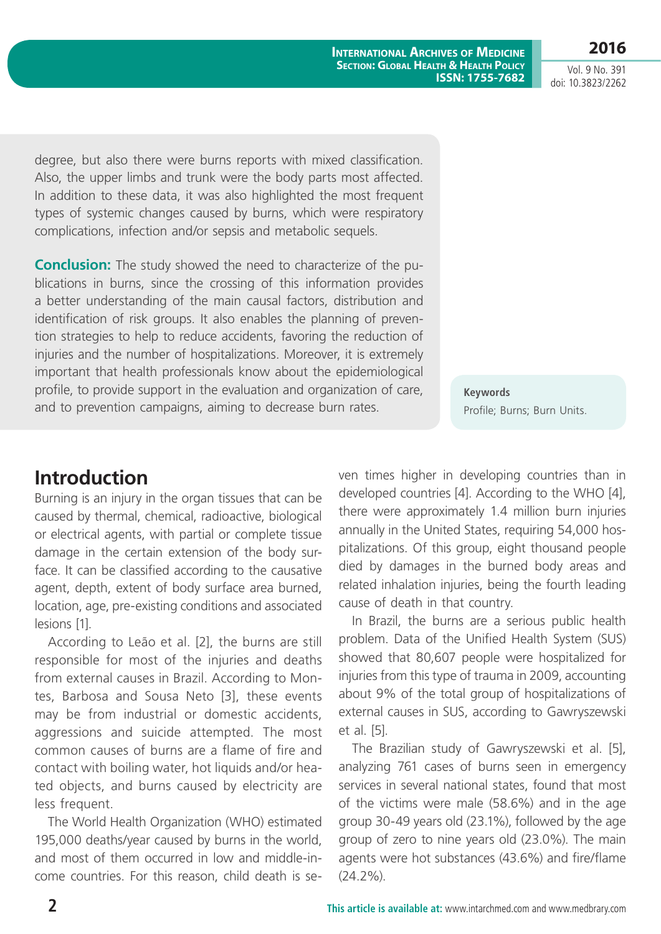**2016**

Vol. 9 No. 391 doi: 10.3823/2262

degree, but also there were burns reports with mixed classification. Also, the upper limbs and trunk were the body parts most affected. In addition to these data, it was also highlighted the most frequent types of systemic changes caused by burns, which were respiratory complications, infection and/or sepsis and metabolic sequels.

**Conclusion:** The study showed the need to characterize of the publications in burns, since the crossing of this information provides a better understanding of the main causal factors, distribution and identification of risk groups. It also enables the planning of prevention strategies to help to reduce accidents, favoring the reduction of injuries and the number of hospitalizations. Moreover, it is extremely important that health professionals know about the epidemiological profile, to provide support in the evaluation and organization of care, and to prevention campaigns, aiming to decrease burn rates.

**Keywords** Profile; Burns; Burn Units.

### **Introduction**

Burning is an injury in the organ tissues that can be caused by thermal, chemical, radioactive, biological or electrical agents, with partial or complete tissue damage in the certain extension of the body surface. It can be classified according to the causative agent, depth, extent of body surface area burned, location, age, pre-existing conditions and associated lesions [1].

According to Leão et al. [2], the burns are still responsible for most of the injuries and deaths from external causes in Brazil. According to Montes, Barbosa and Sousa Neto [3], these events may be from industrial or domestic accidents, aggressions and suicide attempted. The most common causes of burns are a flame of fire and contact with boiling water, hot liquids and/or heated objects, and burns caused by electricity are less frequent.

The World Health Organization (WHO) estimated 195,000 deaths/year caused by burns in the world, and most of them occurred in low and middle-income countries. For this reason, child death is seven times higher in developing countries than in developed countries [4]. According to the WHO [4], there were approximately 1.4 million burn injuries annually in the United States, requiring 54,000 hospitalizations. Of this group, eight thousand people died by damages in the burned body areas and related inhalation injuries, being the fourth leading cause of death in that country.

In Brazil, the burns are a serious public health problem. Data of the Unified Health System (SUS) showed that 80,607 people were hospitalized for injuries from this type of trauma in 2009, accounting about 9% of the total group of hospitalizations of external causes in SUS, according to Gawryszewski et al. [5].

The Brazilian study of Gawryszewski et al. [5], analyzing 761 cases of burns seen in emergency services in several national states, found that most of the victims were male (58.6%) and in the age group 30-49 years old (23.1%), followed by the age group of zero to nine years old (23.0%). The main agents were hot substances (43.6%) and fire/flame (24.2%).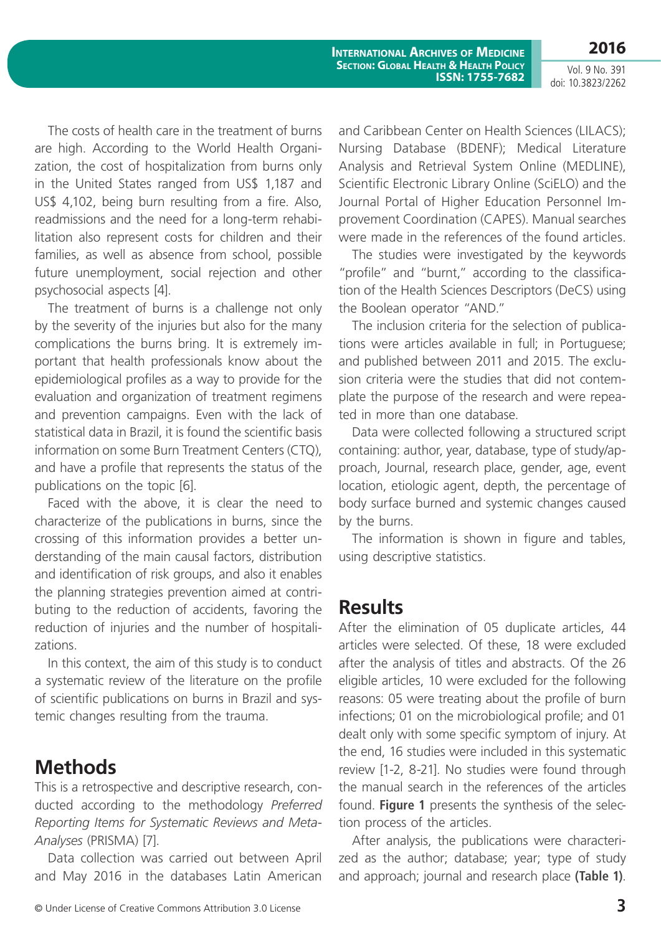Vol. 9 No. 391 doi: 10.3823/2262

**2016**

The costs of health care in the treatment of burns are high. According to the World Health Organization, the cost of hospitalization from burns only in the United States ranged from US\$ 1,187 and US\$ 4,102, being burn resulting from a fire. Also, readmissions and the need for a long-term rehabilitation also represent costs for children and their families, as well as absence from school, possible future unemployment, social rejection and other psychosocial aspects [4].

The treatment of burns is a challenge not only by the severity of the injuries but also for the many complications the burns bring. It is extremely important that health professionals know about the epidemiological profiles as a way to provide for the evaluation and organization of treatment regimens and prevention campaigns. Even with the lack of statistical data in Brazil, it is found the scientific basis information on some Burn Treatment Centers (CTQ), and have a profile that represents the status of the publications on the topic [6].

Faced with the above, it is clear the need to characterize of the publications in burns, since the crossing of this information provides a better understanding of the main causal factors, distribution and identification of risk groups, and also it enables the planning strategies prevention aimed at contributing to the reduction of accidents, favoring the reduction of injuries and the number of hospitalizations.

In this context, the aim of this study is to conduct a systematic review of the literature on the profile of scientific publications on burns in Brazil and systemic changes resulting from the trauma.

#### **Methods**

This is a retrospective and descriptive research, conducted according to the methodology *Preferred Reporting Items for Systematic Reviews and Meta-Analyses* (PRISMA) [7].

Data collection was carried out between April and May 2016 in the databases Latin American

© Under License of Creative Commons Attribution 3.0 License **3**

and Caribbean Center on Health Sciences (LILACS); Nursing Database (BDENF); Medical Literature Analysis and Retrieval System Online (MEDLINE), Scientific Electronic Library Online (SciELO) and the Journal Portal of Higher Education Personnel Improvement Coordination (CAPES). Manual searches were made in the references of the found articles.

The studies were investigated by the keywords "profile" and "burnt," according to the classification of the Health Sciences Descriptors (DeCS) using the Boolean operator "AND."

The inclusion criteria for the selection of publications were articles available in full; in Portuguese; and published between 2011 and 2015. The exclusion criteria were the studies that did not contemplate the purpose of the research and were repeated in more than one database.

Data were collected following a structured script containing: author, year, database, type of study/approach, Journal, research place, gender, age, event location, etiologic agent, depth, the percentage of body surface burned and systemic changes caused by the burns.

The information is shown in figure and tables, using descriptive statistics.

#### **Results**

After the elimination of 05 duplicate articles, 44 articles were selected. Of these, 18 were excluded after the analysis of titles and abstracts. Of the 26 eligible articles, 10 were excluded for the following reasons: 05 were treating about the profile of burn infections; 01 on the microbiological profile; and 01 dealt only with some specific symptom of injury. At the end, 16 studies were included in this systematic review [1-2, 8-21]. No studies were found through the manual search in the references of the articles found. **Figure 1** presents the synthesis of the selection process of the articles.

After analysis, the publications were characterized as the author; database; year; type of study and approach; journal and research place **(Table 1)**.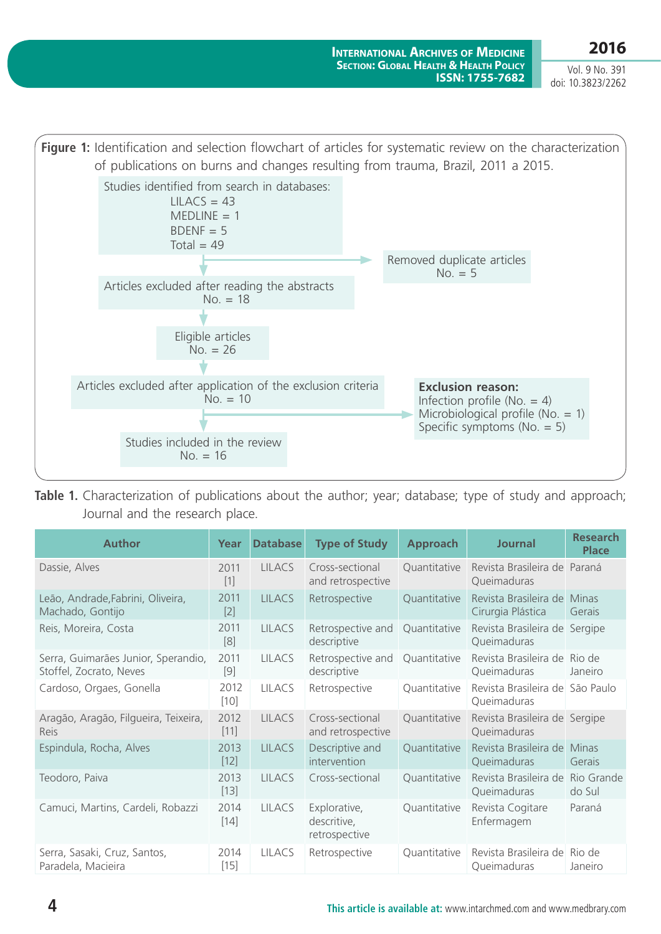Vol. 9 No. 391 doi: 10.3823/2262



**Table 1.** Characterization of publications about the author; year; database; type of study and approach; Journal and the research place.

| <b>Author</b>                                                  | Year           | <b>Database</b> | <b>Type of Study</b>                         | <b>Approach</b> | <b>Journal</b>                                 | <b>Research</b><br><b>Place</b> |
|----------------------------------------------------------------|----------------|-----------------|----------------------------------------------|-----------------|------------------------------------------------|---------------------------------|
| Dassie, Alves                                                  | 2011<br>$[1]$  | <b>LILACS</b>   | Cross-sectional<br>and retrospective         | Quantitative    | Revista Brasileira de Paraná<br>Queimaduras    |                                 |
| Leão, Andrade, Fabrini, Oliveira,<br>Machado, Gontijo          | 2011<br>$[2]$  | <b>LILACS</b>   | Retrospective                                | Quantitative    | Revista Brasileira de<br>Cirurgia Plástica     | Minas<br><b>Gerais</b>          |
| Reis, Moreira, Costa                                           | 2011<br>[8]    | <b>LILACS</b>   | Retrospective and<br>descriptive             | Quantitative    | Revista Brasileira de Sergipe<br>Queimaduras   |                                 |
| Serra, Guimarães Junior, Sperandio,<br>Stoffel, Zocrato, Neves | 2011<br>$[9]$  | <b>LILACS</b>   | Retrospective and<br>descriptive             | Quantitative    | Revista Brasileira de Rio de<br>Queimaduras    | Janeiro                         |
| Cardoso, Orgaes, Gonella                                       | 2012<br>$[10]$ | <b>LILACS</b>   | Retrospective                                | Quantitative    | Revista Brasileira de São Paulo<br>Queimaduras |                                 |
| Aragão, Aragão, Filgueira, Teixeira,<br>Reis                   | 2012<br>$[11]$ | <b>LILACS</b>   | Cross-sectional<br>and retrospective         | Quantitative    | Revista Brasileira de Sergipe<br>Queimaduras   |                                 |
| Espindula, Rocha, Alves                                        | 2013<br>$[12]$ | <b>LILACS</b>   | Descriptive and<br>intervention              | Quantitative    | Revista Brasileira de<br>Queimaduras           | <b>Minas</b><br>Gerais          |
| Teodoro, Paiva                                                 | 2013<br>$[13]$ | <b>LILACS</b>   | Cross-sectional                              | Quantitative    | Revista Brasileira de<br>Queimaduras           | Rio Grande<br>do Sul            |
| Camuci, Martins, Cardeli, Robazzi                              | 2014<br>$[14]$ | <b>LILACS</b>   | Explorative,<br>descritive,<br>retrospective | Quantitative    | Revista Cogitare<br>Enfermagem                 | Paraná                          |
| Serra, Sasaki, Cruz, Santos,<br>Paradela, Macieira             | 2014<br>$[15]$ | <b>LILACS</b>   | Retrospective                                | Quantitative    | Revista Brasileira de<br>Queimaduras           | Rio de<br>Janeiro               |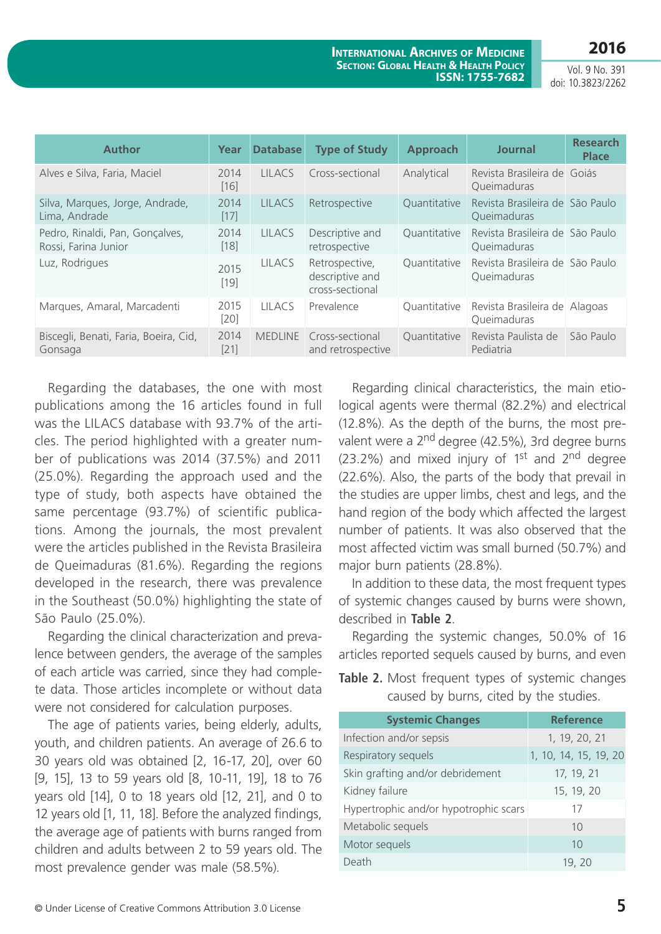**2016**

|  |  | Vol. 9 No. 391    |
|--|--|-------------------|
|  |  | doi: 10.3823/2262 |

| <b>Author</b>                                           | Year           | <b>Database</b> | <b>Type of Study</b>                                 | <b>Approach</b> | <b>Journal</b>                                 | <b>Research</b><br><b>Place</b> |
|---------------------------------------------------------|----------------|-----------------|------------------------------------------------------|-----------------|------------------------------------------------|---------------------------------|
| Alves e Silva, Faria, Maciel                            | 2014<br>[16]   | <b>LILACS</b>   | Cross-sectional                                      | Analytical      | Revista Brasileira de Goiás<br>Queimaduras     |                                 |
| Silva, Marques, Jorge, Andrade,<br>Lima, Andrade        | 2014<br>$[17]$ | <b>LILACS</b>   | Retrospective                                        | Quantitative    | Revista Brasileira de São Paulo<br>Queimaduras |                                 |
| Pedro, Rinaldi, Pan, Gonçalves,<br>Rossi, Farina Junior | 2014<br>$[18]$ | <b>LILACS</b>   | Descriptive and<br>retrospective                     | Quantitative    | Revista Brasileira de São Paulo<br>Queimaduras |                                 |
| Luz, Rodrigues                                          | 2015<br>$[19]$ | <b>LILACS</b>   | Retrospective,<br>descriptive and<br>cross-sectional | Quantitative    | Revista Brasileira de São Paulo<br>Queimaduras |                                 |
| Marques, Amaral, Marcadenti                             | 2015<br>$[20]$ | <b>LILACS</b>   | Prevalence                                           | Quantitative    | Revista Brasileira de Alagoas<br>Queimaduras   |                                 |
| Biscegli, Benati, Faria, Boeira, Cid,<br>Gonsaga        | 2014<br>$[21]$ |                 | MEDLINE Cross-sectional<br>and retrospective         | Quantitative    | Revista Paulista de<br>Pediatria               | São Paulo                       |

Regarding the databases, the one with most publications among the 16 articles found in full was the LILACS database with 93.7% of the articles. The period highlighted with a greater number of publications was 2014 (37.5%) and 2011 (25.0%). Regarding the approach used and the type of study, both aspects have obtained the same percentage (93.7%) of scientific publications. Among the journals, the most prevalent were the articles published in the Revista Brasileira de Queimaduras (81.6%). Regarding the regions developed in the research, there was prevalence in the Southeast (50.0%) highlighting the state of São Paulo (25.0%).

Regarding the clinical characterization and prevalence between genders, the average of the samples of each article was carried, since they had complete data. Those articles incomplete or without data were not considered for calculation purposes.

The age of patients varies, being elderly, adults, youth, and children patients. An average of 26.6 to 30 years old was obtained [2, 16-17, 20], over 60 [9, 15], 13 to 59 years old [8, 10-11, 19], 18 to 76 years old [14], 0 to 18 years old [12, 21], and 0 to 12 years old [1, 11, 18]. Before the analyzed findings, the average age of patients with burns ranged from children and adults between 2 to 59 years old. The most prevalence gender was male (58.5%).

Regarding clinical characteristics, the main etiological agents were thermal (82.2%) and electrical (12.8%). As the depth of the burns, the most prevalent were a 2<sup>nd</sup> degree (42.5%), 3rd degree burns  $(23.2\%)$  and mixed injury of 1<sup>st</sup> and 2<sup>nd</sup> degree (22.6%). Also, the parts of the body that prevail in the studies are upper limbs, chest and legs, and the hand region of the body which affected the largest number of patients. It was also observed that the most affected victim was small burned (50.7%) and major burn patients (28.8%).

In addition to these data, the most frequent types of systemic changes caused by burns were shown, described in **Table 2**.

Regarding the systemic changes, 50.0% of 16 articles reported sequels caused by burns, and even

**Table 2.** Most frequent types of systemic changes caused by burns, cited by the studies.

| <b>Systemic Changes</b>               | <b>Reference</b>      |
|---------------------------------------|-----------------------|
| Infection and/or sepsis               | 1, 19, 20, 21         |
| Respiratory sequels                   | 1, 10, 14, 15, 19, 20 |
| Skin grafting and/or debridement      | 17, 19, 21            |
| Kidney failure                        | 15, 19, 20            |
| Hypertrophic and/or hypotrophic scars | 17                    |
| Metabolic sequels                     | 10                    |
| Motor sequels                         | 10                    |
| Death                                 | 19, 20                |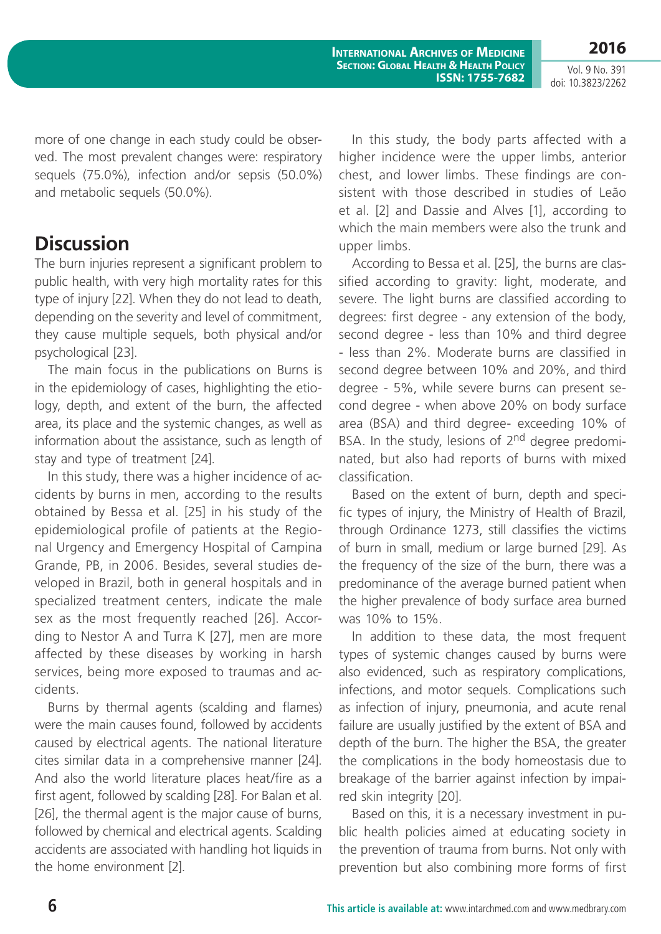Vol. 9 No. 391 doi: 10.3823/2262

**2016**

more of one change in each study could be observed. The most prevalent changes were: respiratory sequels (75.0%), infection and/or sepsis (50.0%) and metabolic sequels (50.0%).

### **Discussion**

The burn injuries represent a significant problem to public health, with very high mortality rates for this type of injury [22]. When they do not lead to death, depending on the severity and level of commitment, they cause multiple sequels, both physical and/or psychological [23].

The main focus in the publications on Burns is in the epidemiology of cases, highlighting the etiology, depth, and extent of the burn, the affected area, its place and the systemic changes, as well as information about the assistance, such as length of stay and type of treatment [24].

In this study, there was a higher incidence of accidents by burns in men, according to the results obtained by Bessa et al. [25] in his study of the epidemiological profile of patients at the Regional Urgency and Emergency Hospital of Campina Grande, PB, in 2006. Besides, several studies developed in Brazil, both in general hospitals and in specialized treatment centers, indicate the male sex as the most frequently reached [26]. According to Nestor A and Turra K [27], men are more affected by these diseases by working in harsh services, being more exposed to traumas and accidents.

Burns by thermal agents (scalding and flames) were the main causes found, followed by accidents caused by electrical agents. The national literature cites similar data in a comprehensive manner [24]. And also the world literature places heat/fire as a first agent, followed by scalding [28]. For Balan et al. [26], the thermal agent is the major cause of burns, followed by chemical and electrical agents. Scalding accidents are associated with handling hot liquids in the home environment [2].

In this study, the body parts affected with a higher incidence were the upper limbs, anterior chest, and lower limbs. These findings are consistent with those described in studies of Leão et al. [2] and Dassie and Alves [1], according to which the main members were also the trunk and upper limbs.

According to Bessa et al. [25], the burns are classified according to gravity: light, moderate, and severe. The light burns are classified according to degrees: first degree - any extension of the body, second degree - less than 10% and third degree - less than 2%. Moderate burns are classified in second degree between 10% and 20%, and third degree - 5%, while severe burns can present second degree - when above 20% on body surface area (BSA) and third degree- exceeding 10% of BSA. In the study, lesions of 2<sup>nd</sup> degree predominated, but also had reports of burns with mixed classification.

Based on the extent of burn, depth and specific types of injury, the Ministry of Health of Brazil, through Ordinance 1273, still classifies the victims of burn in small, medium or large burned [29]. As the frequency of the size of the burn, there was a predominance of the average burned patient when the higher prevalence of body surface area burned was 10% to 15%.

In addition to these data, the most frequent types of systemic changes caused by burns were also evidenced, such as respiratory complications, infections, and motor sequels. Complications such as infection of injury, pneumonia, and acute renal failure are usually justified by the extent of BSA and depth of the burn. The higher the BSA, the greater the complications in the body homeostasis due to breakage of the barrier against infection by impaired skin integrity [20].

Based on this, it is a necessary investment in public health policies aimed at educating society in the prevention of trauma from burns. Not only with prevention but also combining more forms of first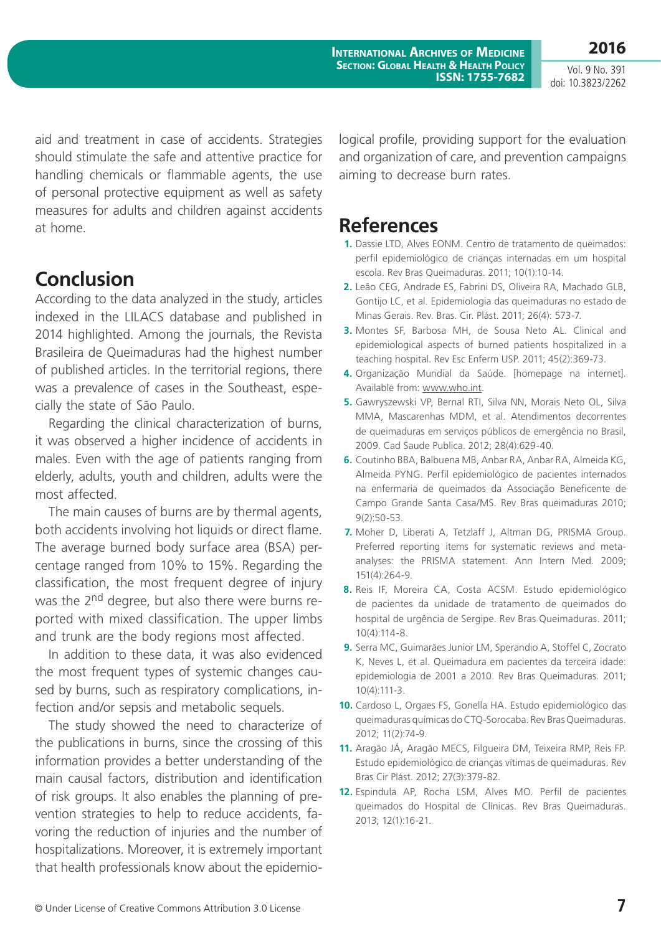Vol. 9 No. 391 doi: 10.3823/2262

**2016**

aid and treatment in case of accidents. Strategies should stimulate the safe and attentive practice for handling chemicals or flammable agents, the use of personal protective equipment as well as safety measures for adults and children against accidents at home.

#### **Conclusion**

According to the data analyzed in the study, articles indexed in the LILACS database and published in 2014 highlighted. Among the journals, the Revista Brasileira de Queimaduras had the highest number of published articles. In the territorial regions, there was a prevalence of cases in the Southeast, especially the state of São Paulo.

Regarding the clinical characterization of burns, it was observed a higher incidence of accidents in males. Even with the age of patients ranging from elderly, adults, youth and children, adults were the most affected.

The main causes of burns are by thermal agents, both accidents involving hot liquids or direct flame. The average burned body surface area (BSA) percentage ranged from 10% to 15%. Regarding the classification, the most frequent degree of injury was the 2<sup>nd</sup> degree, but also there were burns reported with mixed classification. The upper limbs and trunk are the body regions most affected.

In addition to these data, it was also evidenced the most frequent types of systemic changes caused by burns, such as respiratory complications, infection and/or sepsis and metabolic sequels.

The study showed the need to characterize of the publications in burns, since the crossing of this information provides a better understanding of the main causal factors, distribution and identification of risk groups. It also enables the planning of prevention strategies to help to reduce accidents, favoring the reduction of injuries and the number of hospitalizations. Moreover, it is extremely important that health professionals know about the epidemiological profile, providing support for the evaluation and organization of care, and prevention campaigns aiming to decrease burn rates.

#### **References**

- **1.** Dassie LTD, Alves EONM. Centro de tratamento de queimados: perfil epidemiológico de crianças internadas em um hospital escola. Rev Bras Queimaduras. 2011; 10(1):10-14.
- **2.** Leão CEG, Andrade ES, Fabrini DS, Oliveira RA, Machado GLB, Gontijo LC, et al. Epidemiologia das queimaduras no estado de Minas Gerais. Rev. Bras. Cir. Plást. 2011; 26(4): 573-7.
- **3.** Montes SF, Barbosa MH, de Sousa Neto AL. Clinical and epidemiological aspects of burned patients hospitalized in a teaching hospital. Rev Esc Enferm USP. 2011; 45(2):369-73.
- **4.** Organização Mundial da Saúde. [homepage na internet]. Available from: [www.who.int.](www.who.int)
- **5.** Gawryszewski VP, Bernal RTI, Silva NN, Morais Neto OL, Silva MMA, Mascarenhas MDM, et al. Atendimentos decorrentes de queimaduras em serviços públicos de emergência no Brasil, 2009. Cad Saude Publica. 2012; 28(4):629-40.
- **6.** Coutinho BBA, Balbuena MB, Anbar RA, Anbar RA, Almeida KG, Almeida PYNG. Perfil epidemiológico de pacientes internados na enfermaria de queimados da Associação Beneficente de Campo Grande Santa Casa/MS. Rev Bras queimaduras 2010; 9(2):50-53.
- **7.** Moher D, Liberati A, Tetzlaff J, Altman DG, PRISMA Group. Preferred reporting items for systematic reviews and metaanalyses: the PRISMA statement. Ann Intern Med. 2009; 151(4):264-9.
- **8.** Reis IF, Moreira CA, Costa ACSM. Estudo epidemiológico de pacientes da unidade de tratamento de queimados do hospital de urgência de Sergipe. Rev Bras Queimaduras. 2011; 10(4):114-8.
- **9.** Serra MC, Guimarães Junior LM, Sperandio A, Stoffel C, Zocrato K, Neves L, et al. Queimadura em pacientes da terceira idade: epidemiologia de 2001 a 2010. Rev Bras Queimaduras. 2011; 10(4):111-3.
- **10.** Cardoso L, Orgaes FS, Gonella HA. Estudo epidemiológico das queimaduras químicas do CTQ-Sorocaba. Rev Bras Queimaduras. 2012; 11(2):74-9.
- **11.** Aragão JÁ, Aragão MECS, Filgueira DM, Teixeira RMP, Reis FP. Estudo epidemiológico de crianças vítimas de queimaduras. Rev Bras Cir Plást. 2012; 27(3):379-82.
- **12.** Espindula AP, Rocha LSM, Alves MO. Perfil de pacientes queimados do Hospital de Clínicas. Rev Bras Queimaduras. 2013; 12(1):16-21.